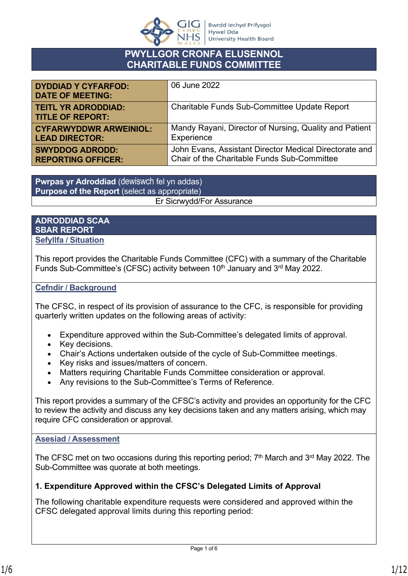

# **PWYLLGOR CRONFA ELUSENNOL CHARITABLE FUNDS COMMITTEE**

| <b>DYDDIAD Y CYFARFOD:</b><br><b>DATE OF MEETING:</b> | 06 June 2022                                           |
|-------------------------------------------------------|--------------------------------------------------------|
| <b>TEITL YR ADRODDIAD:</b><br><b>TITLE OF REPORT:</b> | Charitable Funds Sub-Committee Update Report           |
| <b>CYFARWYDDWR ARWEINIOL:</b>                         | Mandy Rayani, Director of Nursing, Quality and Patient |
| <b>LEAD DIRECTOR:</b>                                 | Experience                                             |
| <b>SWYDDOG ADRODD:</b>                                | John Evans, Assistant Director Medical Directorate and |
| <b>REPORTING OFFICER:</b>                             | Chair of the Charitable Funds Sub-Committee            |

**Pwrpas yr Adroddiad** (dewiswch fel yn addas) **Purpose of the Report** (select as appropriate) Er Sicrwydd/For Assurance

### **ADRODDIAD SCAA SBAR REPORT Sefyllfa / Situation**

This report provides the Charitable Funds Committee (CFC) with a summary of the Charitable Funds Sub-Committee's (CFSC) activity between 10<sup>th</sup> January and 3<sup>rd</sup> May 2022.

### **Cefndir / Background**

The CFSC, in respect of its provision of assurance to the CFC, is responsible for providing quarterly written updates on the following areas of activity:

- Expenditure approved within the Sub-Committee's delegated limits of approval.
- Key decisions.
- Chair's Actions undertaken outside of the cycle of Sub-Committee meetings.
- Key risks and issues/matters of concern.
- Matters requiring Charitable Funds Committee consideration or approval.
- Any revisions to the Sub-Committee's Terms of Reference.

This report provides a summary of the CFSC's activity and provides an opportunity for the CFC to review the activity and discuss any key decisions taken and any matters arising, which may require CFC consideration or approval.

### **Asesiad / Assessment**

The CFSC met on two occasions during this reporting period;  $7<sup>th</sup>$  March and  $3<sup>rd</sup>$  May 2022. The Sub-Committee was quorate at both meetings.

# **1. Expenditure Approved within the CFSC's Delegated Limits of Approval**

The following charitable expenditure requests were considered and approved within the CFSC delegated approval limits during this reporting period: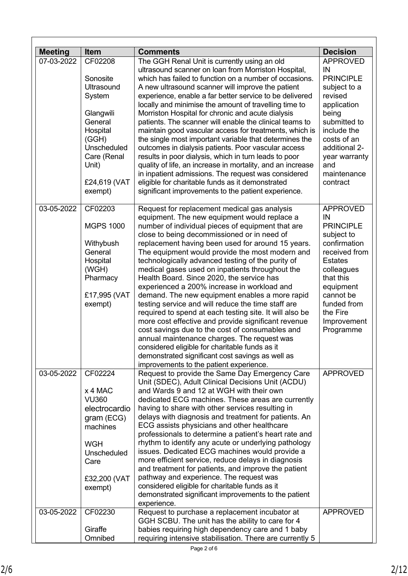| <b>Meeting</b> | <b>Item</b>                | <b>Comments</b>                                                                                              | <b>Decision</b>                 |
|----------------|----------------------------|--------------------------------------------------------------------------------------------------------------|---------------------------------|
| 07-03-2022     | CF02208                    | The GGH Renal Unit is currently using an old                                                                 | <b>APPROVED</b>                 |
|                |                            | ultrasound scanner on loan from Morriston Hospital,                                                          | IN                              |
|                | Sonosite                   | which has failed to function on a number of occasions.                                                       | <b>PRINCIPLE</b>                |
|                | Ultrasound                 | A new ultrasound scanner will improve the patient                                                            | subject to a                    |
|                | System                     | experience, enable a far better service to be delivered                                                      | revised                         |
|                |                            | locally and minimise the amount of travelling time to                                                        | application                     |
|                | Glangwili                  | Morriston Hospital for chronic and acute dialysis                                                            | being                           |
|                | General                    | patients. The scanner will enable the clinical teams to                                                      | submitted to                    |
|                | Hospital                   | maintain good vascular access for treatments, which is                                                       | include the                     |
|                | (GGH)                      | the single most important variable that determines the                                                       | costs of an                     |
|                | Unscheduled<br>Care (Renal | outcomes in dialysis patients. Poor vascular access<br>results in poor dialysis, which in turn leads to poor | additional 2-<br>year warranty  |
|                | Unit)                      | quality of life, an increase in mortality, and an increase                                                   | and                             |
|                |                            | in inpatient admissions. The request was considered                                                          | maintenance                     |
|                | £24,619 (VAT               | eligible for charitable funds as it demonstrated                                                             | contract                        |
|                | exempt)                    | significant improvements to the patient experience.                                                          |                                 |
|                |                            |                                                                                                              |                                 |
| 03-05-2022     | CF02203                    | Request for replacement medical gas analysis                                                                 | <b>APPROVED</b>                 |
|                |                            | equipment. The new equipment would replace a                                                                 | IN                              |
|                | <b>MGPS 1000</b>           | number of individual pieces of equipment that are                                                            | <b>PRINCIPLE</b>                |
|                |                            | close to being decommissioned or in need of                                                                  | subject to                      |
|                | Withybush                  | replacement having been used for around 15 years.                                                            | confirmation                    |
|                | General                    | The equipment would provide the most modern and                                                              | received from<br><b>Estates</b> |
|                | Hospital<br>(WGH)          | technologically advanced testing of the purity of<br>medical gases used on inpatients throughout the         | colleagues                      |
|                | Pharmacy                   | Health Board. Since 2020, the service has                                                                    | that this                       |
|                |                            | experienced a 200% increase in workload and                                                                  | equipment                       |
|                | £17,995 (VAT               | demand. The new equipment enables a more rapid                                                               | cannot be                       |
|                | exempt)                    | testing service and will reduce the time staff are                                                           | funded from                     |
|                |                            | required to spend at each testing site. It will also be                                                      | the Fire                        |
|                |                            | more cost effective and provide significant revenue                                                          | Improvement                     |
|                |                            | cost savings due to the cost of consumables and                                                              | Programme                       |
|                |                            | annual maintenance charges. The request was                                                                  |                                 |
|                |                            | considered eligible for charitable funds as it                                                               |                                 |
|                |                            | demonstrated significant cost savings as well as                                                             |                                 |
| 03-05-2022     | CF02224                    | improvements to the patient experience.<br>Request to provide the Same Day Emergency Care                    | <b>APPROVED</b>                 |
|                |                            | Unit (SDEC), Adult Clinical Decisions Unit (ACDU)                                                            |                                 |
|                | x 4 MAC                    | and Wards 9 and 12 at WGH with their own                                                                     |                                 |
|                | <b>VU360</b>               | dedicated ECG machines. These areas are currently                                                            |                                 |
|                | electrocardio              | having to share with other services resulting in                                                             |                                 |
|                | gram (ECG)                 | delays with diagnosis and treatment for patients. An                                                         |                                 |
|                | machines                   | ECG assists physicians and other healthcare                                                                  |                                 |
|                |                            | professionals to determine a patient's heart rate and                                                        |                                 |
|                | <b>WGH</b>                 | rhythm to identify any acute or underlying pathology                                                         |                                 |
|                | Unscheduled                | issues. Dedicated ECG machines would provide a                                                               |                                 |
|                | Care                       | more efficient service, reduce delays in diagnosis                                                           |                                 |
|                |                            | and treatment for patients, and improve the patient                                                          |                                 |
|                | £32,200 (VAT               | pathway and experience. The request was<br>considered eligible for charitable funds as it                    |                                 |
|                | exempt)                    | demonstrated significant improvements to the patient                                                         |                                 |
|                |                            | experience.                                                                                                  |                                 |
| 03-05-2022     | CF02230                    | Request to purchase a replacement incubator at                                                               | <b>APPROVED</b>                 |
|                |                            | GGH SCBU. The unit has the ability to care for 4                                                             |                                 |
|                | Giraffe                    | babies requiring high dependency care and 1 baby                                                             |                                 |
|                | Omnibed                    | requiring intensive stabilisation. There are currently 5                                                     |                                 |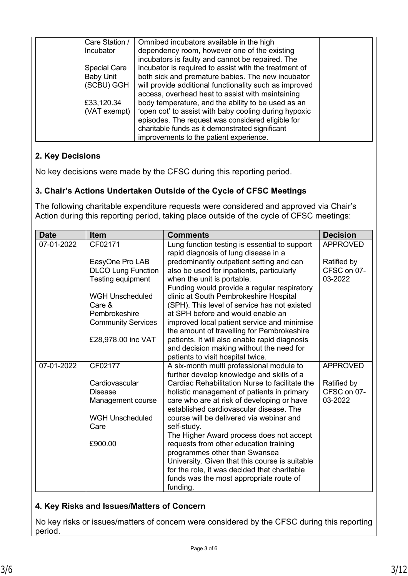| Care Station /      | Omnibed incubators available in the high               |  |
|---------------------|--------------------------------------------------------|--|
|                     |                                                        |  |
| Incubator           | dependency room, however one of the existing           |  |
|                     | incubators is faulty and cannot be repaired. The       |  |
| <b>Special Care</b> | incubator is required to assist with the treatment of  |  |
|                     |                                                        |  |
| <b>Baby Unit</b>    | both sick and premature babies. The new incubator      |  |
| (SCBU) GGH          | will provide additional functionality such as improved |  |
|                     | access, overhead heat to assist with maintaining       |  |
| £33,120.34          | body temperature, and the ability to be used as an     |  |
| (VAT exempt)        | 'open cot' to assist with baby cooling during hypoxic  |  |
|                     | episodes. The request was considered eligible for      |  |
|                     | charitable funds as it demonstrated significant        |  |
|                     | improvements to the patient experience.                |  |

# **2. Key Decisions**

No key decisions were made by the CFSC during this reporting period.

# **3. Chair's Actions Undertaken Outside of the Cycle of CFSC Meetings**

The following charitable expenditure requests were considered and approved via Chair's Action during this reporting period, taking place outside of the cycle of CFSC meetings:

| <b>Date</b> | <b>Item</b>                                                       | <b>Comments</b>                                                                                                                                                                                                                                                              | <b>Decision</b>                       |
|-------------|-------------------------------------------------------------------|------------------------------------------------------------------------------------------------------------------------------------------------------------------------------------------------------------------------------------------------------------------------------|---------------------------------------|
| 07-01-2022  | CF02171                                                           | Lung function testing is essential to support<br>rapid diagnosis of lung disease in a                                                                                                                                                                                        | <b>APPROVED</b>                       |
|             | EasyOne Pro LAB<br><b>DLCO Lung Function</b><br>Testing equipment | predominantly outpatient setting and can<br>also be used for inpatients, particularly<br>when the unit is portable.<br>Funding would provide a regular respiratory                                                                                                           | Ratified by<br>CFSC on 07-<br>03-2022 |
|             | <b>WGH Unscheduled</b><br>Care &<br>Pembrokeshire                 | clinic at South Pembrokeshire Hospital<br>(SPH). This level of service has not existed<br>at SPH before and would enable an                                                                                                                                                  |                                       |
|             | <b>Community Services</b>                                         | improved local patient service and minimise<br>the amount of travelling for Pembrokeshire                                                                                                                                                                                    |                                       |
|             | £28,978.00 inc VAT                                                | patients. It will also enable rapid diagnosis<br>and decision making without the need for<br>patients to visit hospital twice.                                                                                                                                               |                                       |
| 07-01-2022  | CF02177                                                           | A six-month multi professional module to<br>further develop knowledge and skills of a                                                                                                                                                                                        | <b>APPROVED</b>                       |
|             | Cardiovascular<br><b>Disease</b><br>Management course             | Cardiac Rehabilitation Nurse to facilitate the<br>holistic management of patients in primary<br>care who are at risk of developing or have<br>established cardiovascular disease. The                                                                                        | Ratified by<br>CFSC on 07-<br>03-2022 |
|             | <b>WGH Unscheduled</b><br>Care                                    | course will be delivered via webinar and<br>self-study.                                                                                                                                                                                                                      |                                       |
|             | £900.00                                                           | The Higher Award process does not accept<br>requests from other education training<br>programmes other than Swansea<br>University. Given that this course is suitable<br>for the role, it was decided that charitable<br>funds was the most appropriate route of<br>funding. |                                       |

### **4. Key Risks and Issues/Matters of Concern**

No key risks or issues/matters of concern were considered by the CFSC during this reporting period.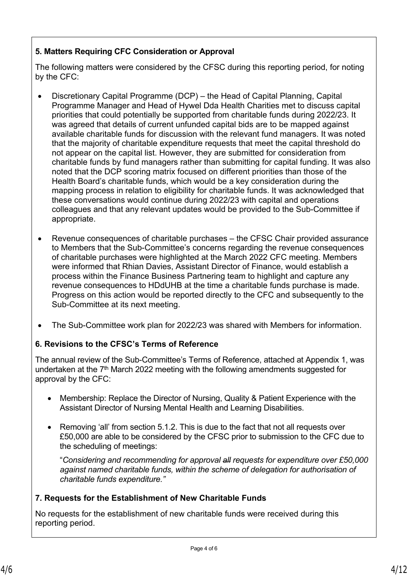# **5. Matters Requiring CFC Consideration or Approval**

The following matters were considered by the CFSC during this reporting period, for noting by the CFC:

- Discretionary Capital Programme (DCP) the Head of Capital Planning, Capital Programme Manager and Head of Hywel Dda Health Charities met to discuss capital priorities that could potentially be supported from charitable funds during 2022/23. It was agreed that details of current unfunded capital bids are to be mapped against available charitable funds for discussion with the relevant fund managers. It was noted that the majority of charitable expenditure requests that meet the capital threshold do not appear on the capital list. However, they are submitted for consideration from charitable funds by fund managers rather than submitting for capital funding. It was also noted that the DCP scoring matrix focused on different priorities than those of the Health Board's charitable funds, which would be a key consideration during the mapping process in relation to eligibility for charitable funds. It was acknowledged that these conversations would continue during 2022/23 with capital and operations colleagues and that any relevant updates would be provided to the Sub-Committee if appropriate.
- Revenue consequences of charitable purchases the CFSC Chair provided assurance to Members that the Sub-Committee's concerns regarding the revenue consequences of charitable purchases were highlighted at the March 2022 CFC meeting. Members were informed that Rhian Davies, Assistant Director of Finance, would establish a process within the Finance Business Partnering team to highlight and capture any revenue consequences to HDdUHB at the time a charitable funds purchase is made. Progress on this action would be reported directly to the CFC and subsequently to the Sub-Committee at its next meeting.
- The Sub-Committee work plan for 2022/23 was shared with Members for information.

# **6. Revisions to the CFSC's Terms of Reference**

The annual review of the Sub-Committee's Terms of Reference, attached at Appendix 1, was undertaken at the  $7<sup>th</sup>$  March 2022 meeting with the following amendments suggested for approval by the CFC:

- Membership: Replace the Director of Nursing, Quality & Patient Experience with the Assistant Director of Nursing Mental Health and Learning Disabilities.
- Removing 'all' from section 5.1.2. This is due to the fact that not all requests over £50,000 are able to be considered by the CFSC prior to submission to the CFC due to the scheduling of meetings:

"*Considering and recommending for approval all requests for expenditure over £50,000 against named charitable funds, within the scheme of delegation for authorisation of charitable funds expenditure."*

# **7. Requests for the Establishment of New Charitable Funds**

No requests for the establishment of new charitable funds were received during this reporting period.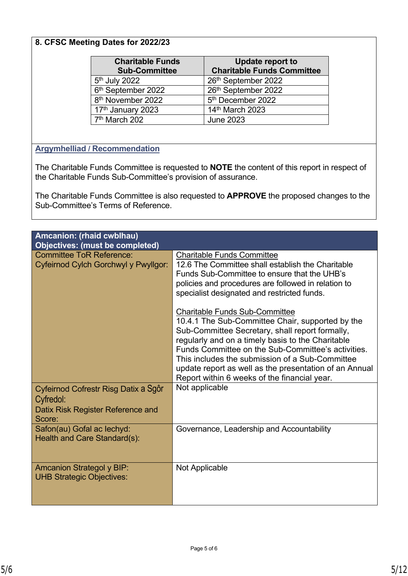# **8. CFSC Meeting Dates for 2022/23**

| <b>Charitable Funds</b><br><b>Sub-Committee</b> | Update report to<br><b>Charitable Funds Committee</b> |
|-------------------------------------------------|-------------------------------------------------------|
| 5 <sup>th</sup> July 2022                       | 26th September 2022                                   |
| 6 <sup>th</sup> September 2022                  | 26th September 2022                                   |
| 8 <sup>th</sup> November 2022                   | 5 <sup>th</sup> December 2022                         |
| 17 <sup>th</sup> January 2023                   | 14th March 2023                                       |
| 7 <sup>th</sup> March 202                       | <b>June 2023</b>                                      |

### **Argymhelliad / Recommendation**

The Charitable Funds Committee is requested to **NOTE** the content of this report in respect of the Charitable Funds Sub-Committee's provision of assurance.

The Charitable Funds Committee is also requested to **APPROVE** the proposed changes to the Sub-Committee's Terms of Reference.

| <b>Amcanion: (rhaid cwblhau)</b><br><b>Objectives: (must be completed)</b>                       |                                                                                                                                                                                                                                                                                                                                                                                                                      |
|--------------------------------------------------------------------------------------------------|----------------------------------------------------------------------------------------------------------------------------------------------------------------------------------------------------------------------------------------------------------------------------------------------------------------------------------------------------------------------------------------------------------------------|
| <b>Committee ToR Reference:</b><br>Cyfeirnod Cylch Gorchwyl y Pwyllgor:                          | <b>Charitable Funds Committee</b><br>12.6 The Committee shall establish the Charitable<br>Funds Sub-Committee to ensure that the UHB's<br>policies and procedures are followed in relation to<br>specialist designated and restricted funds.                                                                                                                                                                         |
|                                                                                                  | <b>Charitable Funds Sub-Committee</b><br>10.4.1 The Sub-Committee Chair, supported by the<br>Sub-Committee Secretary, shall report formally,<br>regularly and on a timely basis to the Charitable<br>Funds Committee on the Sub-Committee's activities.<br>This includes the submission of a Sub-Committee<br>update report as well as the presentation of an Annual<br>Report within 6 weeks of the financial year. |
| Cyfeirnod Cofrestr Risg Datix a Sgôr<br>Cyfredol:<br>Datix Risk Register Reference and<br>Score: | Not applicable                                                                                                                                                                                                                                                                                                                                                                                                       |
| Safon(au) Gofal ac lechyd:<br>Health and Care Standard(s):                                       | Governance, Leadership and Accountability                                                                                                                                                                                                                                                                                                                                                                            |
| <b>Amcanion Strategol y BIP:</b><br><b>UHB Strategic Objectives:</b>                             | Not Applicable                                                                                                                                                                                                                                                                                                                                                                                                       |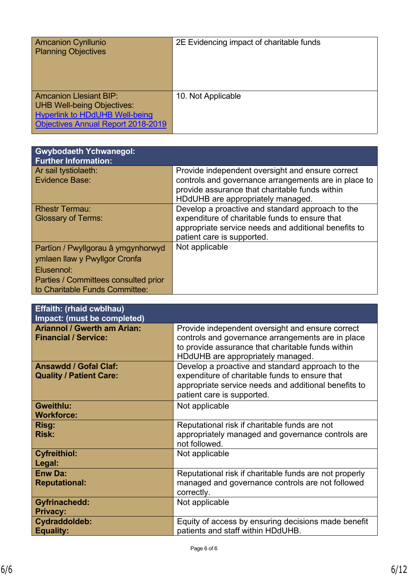| <b>Amcanion Cynllunio</b>                 | 2E Evidencing impact of charitable funds |
|-------------------------------------------|------------------------------------------|
|                                           |                                          |
| <b>Planning Objectives</b>                |                                          |
|                                           |                                          |
|                                           |                                          |
|                                           |                                          |
|                                           |                                          |
|                                           |                                          |
|                                           |                                          |
|                                           |                                          |
| <b>Amcanion Llesiant BIP:</b>             | 10. Not Applicable                       |
|                                           |                                          |
| <b>UHB Well-being Objectives:</b>         |                                          |
|                                           |                                          |
| <b>Hyperlink to HDdUHB Well-being</b>     |                                          |
| <b>Objectives Annual Report 2018-2019</b> |                                          |
|                                           |                                          |
|                                           |                                          |

| <b>Gwybodaeth Ychwanegol:</b><br><b>Further Information:</b>           |                                                                                                          |
|------------------------------------------------------------------------|----------------------------------------------------------------------------------------------------------|
| Ar sail tystiolaeth:<br>Evidence Base:                                 | Provide independent oversight and ensure correct<br>controls and governance arrangements are in place to |
|                                                                        | provide assurance that charitable funds within<br>HDdUHB are appropriately managed.                      |
| <b>Rhestr Termau:</b><br><b>Glossary of Terms:</b>                     | Develop a proactive and standard approach to the<br>expenditure of charitable funds to ensure that       |
|                                                                        | appropriate service needs and additional benefits to<br>patient care is supported.                       |
| Partïon / Pwyllgorau â ymgynhorwyd                                     | Not applicable                                                                                           |
| ymlaen llaw y Pwyllgor Cronfa                                          |                                                                                                          |
| Elusennol:                                                             |                                                                                                          |
| Parties / Committees consulted prior<br>to Charitable Funds Committee: |                                                                                                          |

| <b>Effaith: (rhaid cwblhau)</b><br>Impact: (must be completed)    |                                                                                                                                                                                                 |
|-------------------------------------------------------------------|-------------------------------------------------------------------------------------------------------------------------------------------------------------------------------------------------|
| <b>Ariannol / Gwerth am Arian:</b><br><b>Financial / Service:</b> | Provide independent oversight and ensure correct<br>controls and governance arrangements are in place<br>to provide assurance that charitable funds within<br>HDdUHB are appropriately managed. |
| <b>Ansawdd / Gofal Claf:</b><br><b>Quality / Patient Care:</b>    | Develop a proactive and standard approach to the<br>expenditure of charitable funds to ensure that<br>appropriate service needs and additional benefits to<br>patient care is supported.        |
| Gweithlu:<br><b>Workforce:</b>                                    | Not applicable                                                                                                                                                                                  |
| <b>Risg:</b><br><b>Risk:</b>                                      | Reputational risk if charitable funds are not<br>appropriately managed and governance controls are<br>not followed.                                                                             |
| <b>Cyfreithiol:</b><br>Legal:                                     | Not applicable                                                                                                                                                                                  |
| <b>Enw Da:</b><br><b>Reputational:</b>                            | Reputational risk if charitable funds are not properly<br>managed and governance controls are not followed<br>correctly.                                                                        |
| <b>Gyfrinachedd:</b><br><b>Privacy:</b>                           | Not applicable                                                                                                                                                                                  |
| Cydraddoldeb:<br><b>Equality:</b>                                 | Equity of access by ensuring decisions made benefit<br>patients and staff within HDdUHB.                                                                                                        |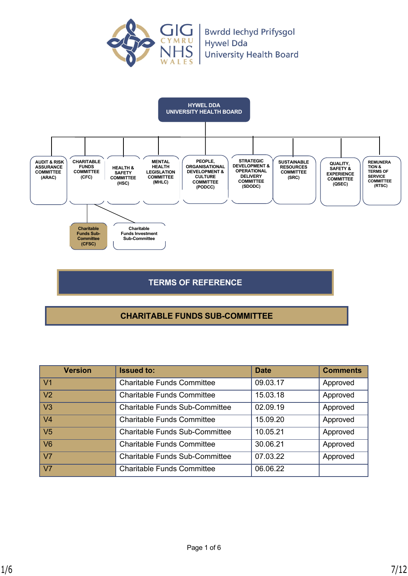



# **TERMS OF REFERENCE**

# **CHARITABLE FUNDS SUB-COMMITTEE**

| <b>Version</b> | <b>Issued to:</b>                     | <b>Date</b> | <b>Comments</b> |
|----------------|---------------------------------------|-------------|-----------------|
| V <sub>1</sub> | <b>Charitable Funds Committee</b>     | 09.03.17    | Approved        |
| V <sub>2</sub> | <b>Charitable Funds Committee</b>     | 15.03.18    | Approved        |
| V <sub>3</sub> | <b>Charitable Funds Sub-Committee</b> | 02.09.19    | Approved        |
| V <sub>4</sub> | <b>Charitable Funds Committee</b>     | 15.09.20    | Approved        |
| V <sub>5</sub> | <b>Charitable Funds Sub-Committee</b> | 10.05.21    | Approved        |
| V <sub>6</sub> | <b>Charitable Funds Committee</b>     | 30.06.21    | Approved        |
| V <sub>7</sub> | <b>Charitable Funds Sub-Committee</b> | 07.03.22    | Approved        |
| V <sub>7</sub> | <b>Charitable Funds Committee</b>     | 06.06.22    |                 |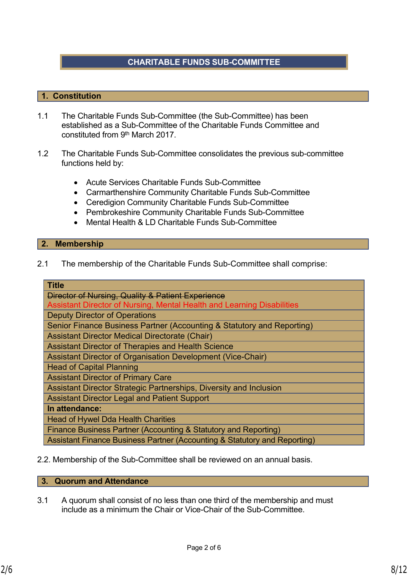# **CHARITABLE FUNDS SUB-COMMITTEE**

### **1. Constitution**

- 1.1 The Charitable Funds Sub-Committee (the Sub-Committee) has been established as a Sub-Committee of the Charitable Funds Committee and constituted from 9th March 2017.
- 1.2 The Charitable Funds Sub-Committee consolidates the previous sub-committee functions held by:
	- Acute Services Charitable Funds Sub-Committee
	- Carmarthenshire Community Charitable Funds Sub-Committee
	- Ceredigion Community Charitable Funds Sub-Committee
	- Pembrokeshire Community Charitable Funds Sub-Committee
	- Mental Health & LD Charitable Funds Sub-Committee

#### **2. Membership**

2.1 The membership of the Charitable Funds Sub-Committee shall comprise:

| <b>Title</b>                                                              |
|---------------------------------------------------------------------------|
| Director of Nursing, Quality & Patient Experience                         |
| Assistant Director of Nursing, Mental Health and Learning Disabilities    |
| <b>Deputy Director of Operations</b>                                      |
| Senior Finance Business Partner (Accounting & Statutory and Reporting)    |
| <b>Assistant Director Medical Directorate (Chair)</b>                     |
| <b>Assistant Director of Therapies and Health Science</b>                 |
| Assistant Director of Organisation Development (Vice-Chair)               |
| <b>Head of Capital Planning</b>                                           |
| <b>Assistant Director of Primary Care</b>                                 |
| Assistant Director Strategic Partnerships, Diversity and Inclusion        |
| <b>Assistant Director Legal and Patient Support</b>                       |
| In attendance:                                                            |
| <b>Head of Hywel Dda Health Charities</b>                                 |
| Finance Business Partner (Accounting & Statutory and Reporting)           |
| Assistant Finance Business Partner (Accounting & Statutory and Reporting) |

2.2. Membership of the Sub-Committee shall be reviewed on an annual basis.

#### **3. Quorum and Attendance**

3.1 A quorum shall consist of no less than one third of the membership and must include as a minimum the Chair or Vice-Chair of the Sub-Committee.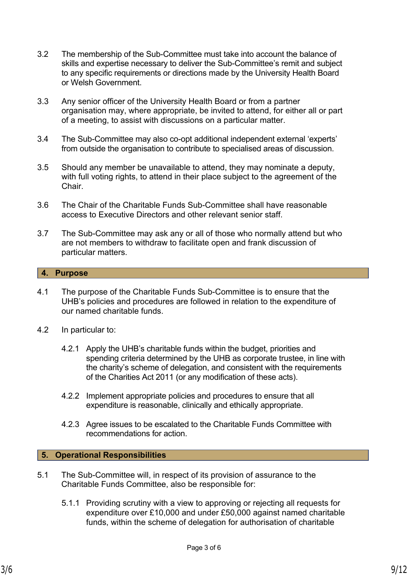- 3.2 The membership of the Sub-Committee must take into account the balance of skills and expertise necessary to deliver the Sub-Committee's remit and subject to any specific requirements or directions made by the University Health Board or Welsh Government.
- 3.3 Any senior officer of the University Health Board or from a partner organisation may, where appropriate, be invited to attend, for either all or part of a meeting, to assist with discussions on a particular matter.
- 3.4 The Sub-Committee may also co-opt additional independent external 'experts' from outside the organisation to contribute to specialised areas of discussion.
- 3.5 Should any member be unavailable to attend, they may nominate a deputy, with full voting rights, to attend in their place subject to the agreement of the Chair.
- 3.6 The Chair of the Charitable Funds Sub-Committee shall have reasonable access to Executive Directors and other relevant senior staff.
- 3.7 The Sub-Committee may ask any or all of those who normally attend but who are not members to withdraw to facilitate open and frank discussion of particular matters.

#### **4. Purpose**

- 4.1 The purpose of the Charitable Funds Sub-Committee is to ensure that the UHB's policies and procedures are followed in relation to the expenditure of our named charitable funds.
- 4.2 In particular to:
	- 4.2.1 Apply the UHB's charitable funds within the budget, priorities and spending criteria determined by the UHB as corporate trustee, in line with the charity's scheme of delegation, and consistent with the requirements of the Charities Act 2011 (or any modification of these acts).
	- 4.2.2 Implement appropriate policies and procedures to ensure that all expenditure is reasonable, clinically and ethically appropriate.
	- 4.2.3 Agree issues to be escalated to the Charitable Funds Committee with recommendations for action.

### **5. Operational Responsibilities**

- 5.1 The Sub-Committee will, in respect of its provision of assurance to the Charitable Funds Committee, also be responsible for:
	- 5.1.1 Providing scrutiny with a view to approving or rejecting all requests for expenditure over £10,000 and under £50,000 against named charitable funds, within the scheme of delegation for authorisation of charitable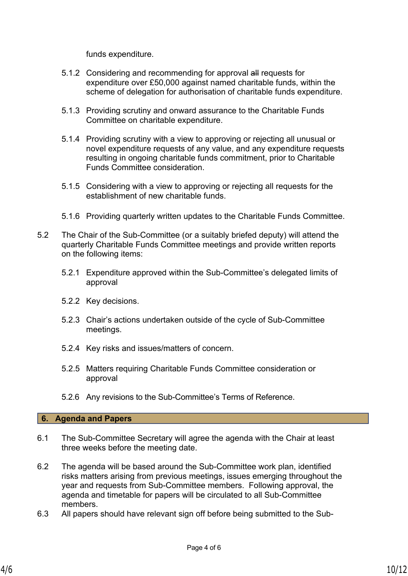funds expenditure.

- 5.1.2 Considering and recommending for approval all requests for expenditure over £50,000 against named charitable funds, within the scheme of delegation for authorisation of charitable funds expenditure.
- 5.1.3 Providing scrutiny and onward assurance to the Charitable Funds Committee on charitable expenditure.
- 5.1.4 Providing scrutiny with a view to approving or rejecting all unusual or novel expenditure requests of any value, and any expenditure requests resulting in ongoing charitable funds commitment, prior to Charitable Funds Committee consideration.
- 5.1.5 Considering with a view to approving or rejecting all requests for the establishment of new charitable funds.
- 5.1.6 Providing quarterly written updates to the Charitable Funds Committee.
- 5.2 The Chair of the Sub-Committee (or a suitably briefed deputy) will attend the quarterly Charitable Funds Committee meetings and provide written reports on the following items:
	- 5.2.1 Expenditure approved within the Sub-Committee's delegated limits of approval
	- 5.2.2 Key decisions.
	- 5.2.3 Chair's actions undertaken outside of the cycle of Sub-Committee meetings.
	- 5.2.4 Key risks and issues/matters of concern.
	- 5.2.5 Matters requiring Charitable Funds Committee consideration or approval
	- 5.2.6 Any revisions to the Sub-Committee's Terms of Reference.

### **6. Agenda and Papers**

- 6.1 The Sub-Committee Secretary will agree the agenda with the Chair at least three weeks before the meeting date.
- 6.2 The agenda will be based around the Sub-Committee work plan, identified risks matters arising from previous meetings, issues emerging throughout the year and requests from Sub-Committee members. Following approval, the agenda and timetable for papers will be circulated to all Sub-Committee members.
- 6.3 All papers should have relevant sign off before being submitted to the Sub-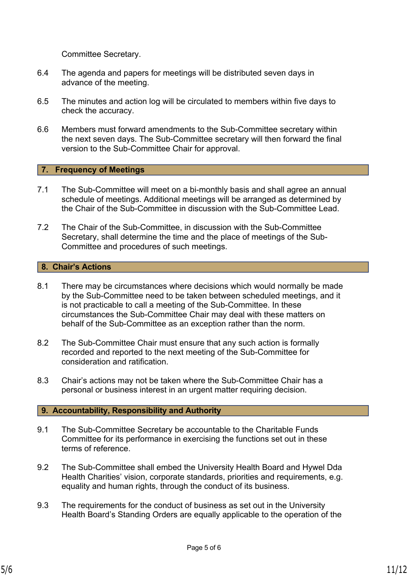Committee Secretary.

- 6.4 The agenda and papers for meetings will be distributed seven days in advance of the meeting.
- 6.5 The minutes and action log will be circulated to members within five days to check the accuracy.
- 6.6 Members must forward amendments to the Sub-Committee secretary within the next seven days. The Sub-Committee secretary will then forward the final version to the Sub-Committee Chair for approval.

#### **7. Frequency of Meetings**

- 7.1 The Sub-Committee will meet on a bi-monthly basis and shall agree an annual schedule of meetings. Additional meetings will be arranged as determined by the Chair of the Sub-Committee in discussion with the Sub-Committee Lead.
- 7.2 The Chair of the Sub-Committee, in discussion with the Sub-Committee Secretary, shall determine the time and the place of meetings of the Sub-Committee and procedures of such meetings.

#### **8. Chair's Actions**

- 8.1 There may be circumstances where decisions which would normally be made by the Sub-Committee need to be taken between scheduled meetings, and it is not practicable to call a meeting of the Sub-Committee. In these circumstances the Sub-Committee Chair may deal with these matters on behalf of the Sub-Committee as an exception rather than the norm.
- 8.2 The Sub-Committee Chair must ensure that any such action is formally recorded and reported to the next meeting of the Sub-Committee for consideration and ratification.
- 8.3 Chair's actions may not be taken where the Sub-Committee Chair has a personal or business interest in an urgent matter requiring decision.

### **9. Accountability, Responsibility and Authority**

- 9.1 The Sub-Committee Secretary be accountable to the Charitable Funds Committee for its performance in exercising the functions set out in these terms of reference.
- 9.2 The Sub-Committee shall embed the University Health Board and Hywel Dda Health Charities' vision, corporate standards, priorities and requirements, e.g. equality and human rights, through the conduct of its business.
- 9.3 The requirements for the conduct of business as set out in the University Health Board's Standing Orders are equally applicable to the operation of the